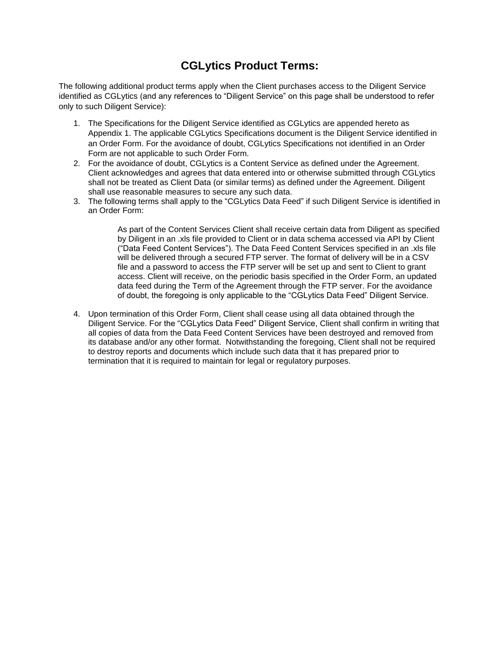# **CGLytics Product Terms:**

The following additional product terms apply when the Client purchases access to the Diligent Service identified as CGLytics (and any references to "Diligent Service" on this page shall be understood to refer only to such Diligent Service):

- 1. The Specifications for the Diligent Service identified as CGLytics are appended hereto as Appendix 1. The applicable CGLytics Specifications document is the Diligent Service identified in an Order Form. For the avoidance of doubt, CGLytics Specifications not identified in an Order Form are not applicable to such Order Form.
- 2. For the avoidance of doubt, CGLytics is a Content Service as defined under the Agreement. Client acknowledges and agrees that data entered into or otherwise submitted through CGLytics shall not be treated as Client Data (or similar terms) as defined under the Agreement. Diligent shall use reasonable measures to secure any such data.
- 3. The following terms shall apply to the "CGLytics Data Feed" if such Diligent Service is identified in an Order Form:

As part of the Content Services Client shall receive certain data from Diligent as specified by Diligent in an .xls file provided to Client or in data schema accessed via API by Client ("Data Feed Content Services"). The Data Feed Content Services specified in an .xls file will be delivered through a secured FTP server. The format of delivery will be in a CSV file and a password to access the FTP server will be set up and sent to Client to grant access. Client will receive, on the periodic basis specified in the Order Form, an updated data feed during the Term of the Agreement through the FTP server. For the avoidance of doubt, the foregoing is only applicable to the "CGLytics Data Feed" Diligent Service.

4. Upon termination of this Order Form, Client shall cease using all data obtained through the Diligent Service. For the "CGLytics Data Feed" Diligent Service, Client shall confirm in writing that all copies of data from the Data Feed Content Services have been destroyed and removed from its database and/or any other format. Notwithstanding the foregoing, Client shall not be required to destroy reports and documents which include such data that it has prepared prior to termination that it is required to maintain for legal or regulatory purposes.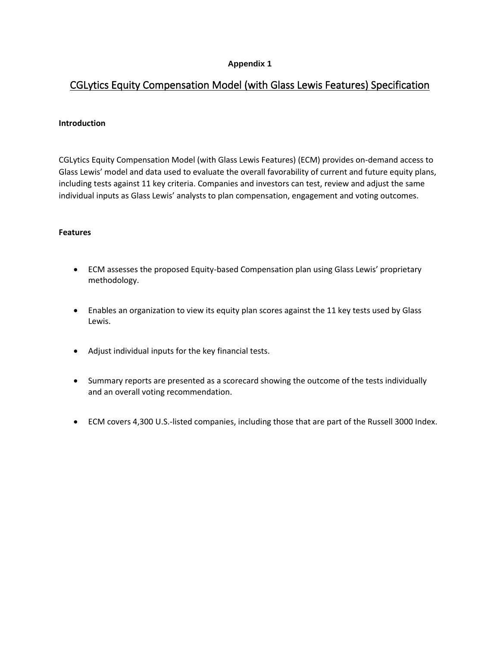# **Appendix 1**

# CGLytics Equity Compensation Model (with Glass Lewis Features) Specification

## **Introduction**

CGLytics Equity Compensation Model (with Glass Lewis Features) (ECM) provides on-demand access to Glass Lewis' model and data used to evaluate the overall favorability of current and future equity plans, including tests against 11 key criteria. Companies and investors can test, review and adjust the same individual inputs as Glass Lewis' analysts to plan compensation, engagement and voting outcomes.

#### **Features**

- ECM assesses the proposed Equity-based Compensation plan using Glass Lewis' proprietary methodology.
- Enables an organization to view its equity plan scores against the 11 key tests used by Glass Lewis.
- Adjust individual inputs for the key financial tests.
- Summary reports are presented as a scorecard showing the outcome of the tests individually and an overall voting recommendation.
- ECM covers 4,300 U.S.-listed companies, including those that are part of the Russell 3000 Index.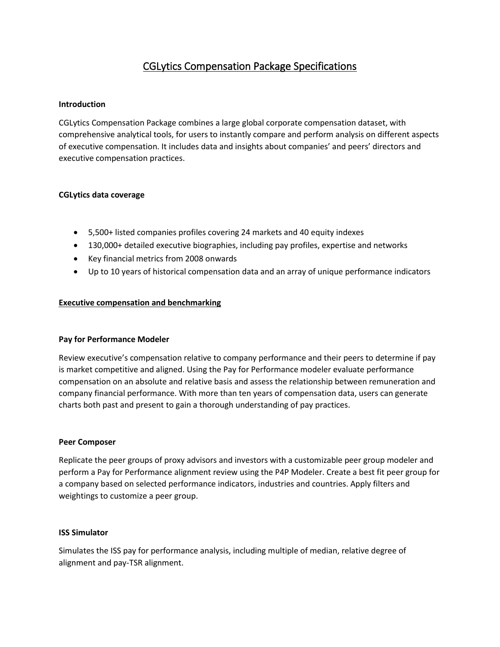# CGLytics Compensation Package Specifications

## **Introduction**

CGLytics Compensation Package combines a large global corporate compensation dataset, with comprehensive analytical tools, for users to instantly compare and perform analysis on different aspects of executive compensation. It includes data and insights about companies' and peers' directors and executive compensation practices.

# **CGLytics data coverage**

- 5,500+ listed companies profiles covering 24 markets and 40 equity indexes
- 130,000+ detailed executive biographies, including pay profiles, expertise and networks
- Key financial metrics from 2008 onwards
- Up to 10 years of historical compensation data and an array of unique performance indicators

#### **Executive compensation and benchmarking**

#### **Pay for Performance Modeler**

Review executive's compensation relative to company performance and their peers to determine if pay is market competitive and aligned. Using the Pay for Performance modeler evaluate performance compensation on an absolute and relative basis and assess the relationship between remuneration and company financial performance. With more than ten years of compensation data, users can generate charts both past and present to gain a thorough understanding of pay practices.

#### **Peer Composer**

Replicate the peer groups of proxy advisors and investors with a customizable peer group modeler and perform a Pay for Performance alignment review using the P4P Modeler. Create a best fit peer group for a company based on selected performance indicators, industries and countries. Apply filters and weightings to customize a peer group.

#### **ISS Simulator**

Simulates the ISS pay for performance analysis, including multiple of median, relative degree of alignment and pay-TSR alignment.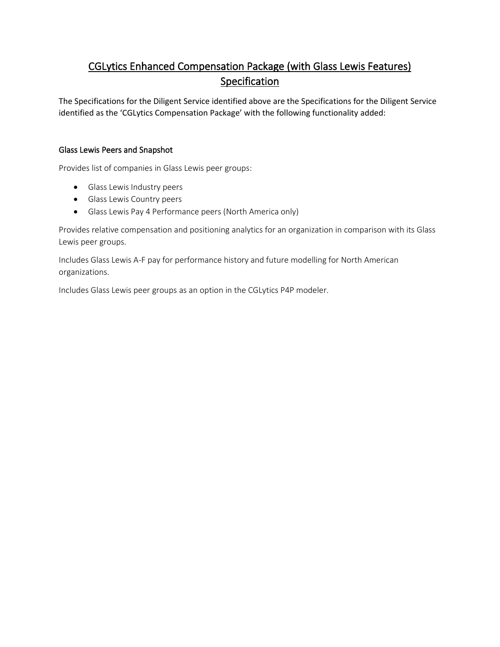# CGLytics Enhanced Compensation Package (with Glass Lewis Features) Specification

The Specifications for the Diligent Service identified above are the Specifications for the Diligent Service identified as the 'CGLytics Compensation Package' with the following functionality added:

# Glass Lewis Peers and Snapshot

Provides list of companies in Glass Lewis peer groups:

- Glass Lewis Industry peers
- Glass Lewis Country peers
- Glass Lewis Pay 4 Performance peers (North America only)

Provides relative compensation and positioning analytics for an organization in comparison with its Glass Lewis peer groups.

Includes Glass Lewis A-F pay for performance history and future modelling for North American organizations.

Includes Glass Lewis peer groups as an option in the CGLytics P4P modeler.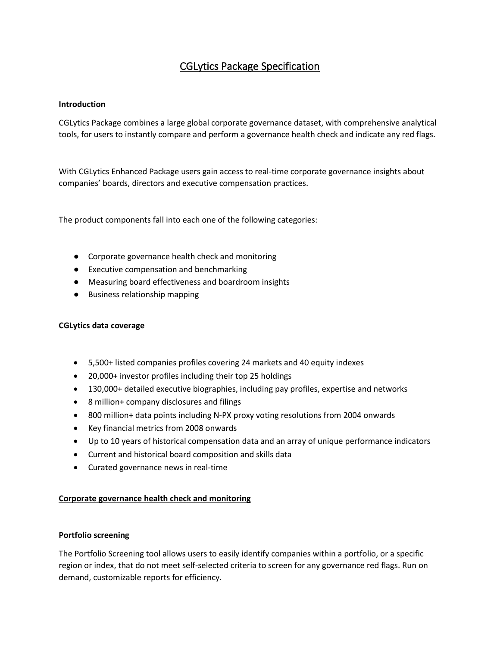# CGLytics Package Specification

# **Introduction**

CGLytics Package combines a large global corporate governance dataset, with comprehensive analytical tools, for users to instantly compare and perform a governance health check and indicate any red flags.

With CGLytics Enhanced Package users gain access to real-time corporate governance insights about companies' boards, directors and executive compensation practices.

The product components fall into each one of the following categories:

- Corporate governance health check and monitoring
- Executive compensation and benchmarking
- Measuring board effectiveness and boardroom insights
- Business relationship mapping

# **CGLytics data coverage**

- 5,500+ listed companies profiles covering 24 markets and 40 equity indexes
- 20,000+ investor profiles including their top 25 holdings
- 130,000+ detailed executive biographies, including pay profiles, expertise and networks
- 8 million+ company disclosures and filings
- 800 million+ data points including N-PX proxy voting resolutions from 2004 onwards
- Key financial metrics from 2008 onwards
- Up to 10 years of historical compensation data and an array of unique performance indicators
- Current and historical board composition and skills data
- Curated governance news in real-time

# **Corporate governance health check and monitoring**

# **Portfolio screening**

The Portfolio Screening tool allows users to easily identify companies within a portfolio, or a specific region or index, that do not meet self-selected criteria to screen for any governance red flags. Run on demand, customizable reports for efficiency.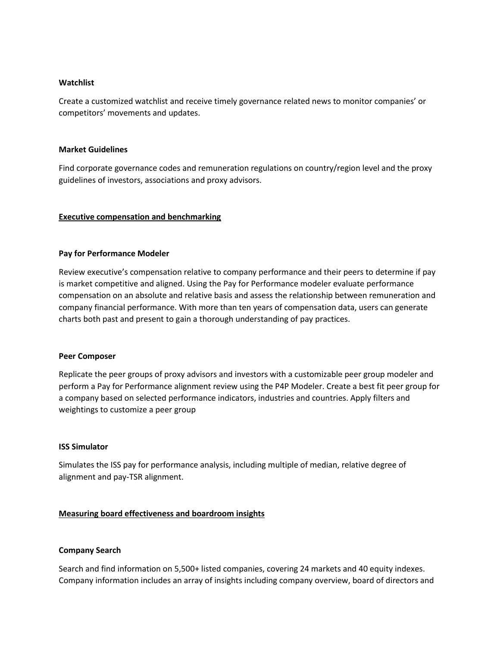#### **Watchlist**

Create a customized watchlist and receive timely governance related news to monitor companies' or competitors' movements and updates.

#### **Market Guidelines**

Find corporate governance codes and remuneration regulations on country/region level and the proxy guidelines of investors, associations and proxy advisors.

# **Executive compensation and benchmarking**

#### **Pay for Performance Modeler**

Review executive's compensation relative to company performance and their peers to determine if pay is market competitive and aligned. Using the Pay for Performance modeler evaluate performance compensation on an absolute and relative basis and assess the relationship between remuneration and company financial performance. With more than ten years of compensation data, users can generate charts both past and present to gain a thorough understanding of pay practices.

#### **Peer Composer**

Replicate the peer groups of proxy advisors and investors with a customizable peer group modeler and perform a Pay for Performance alignment review using the P4P Modeler. Create a best fit peer group for a company based on selected performance indicators, industries and countries. Apply filters and weightings to customize a peer group

#### **ISS Simulator**

Simulates the ISS pay for performance analysis, including multiple of median, relative degree of alignment and pay-TSR alignment.

# **Measuring board effectiveness and boardroom insights**

#### **Company Search**

Search and find information on 5,500+ listed companies, covering 24 markets and 40 equity indexes. Company information includes an array of insights including company overview, board of directors and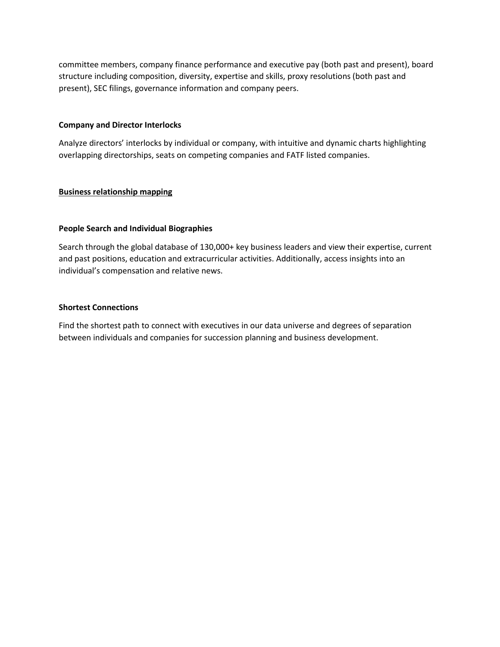committee members, company finance performance and executive pay (both past and present), board structure including composition, diversity, expertise and skills, proxy resolutions (both past and present), SEC filings, governance information and company peers.

## **Company and Director Interlocks**

Analyze directors' interlocks by individual or company, with intuitive and dynamic charts highlighting overlapping directorships, seats on competing companies and FATF listed companies.

#### **Business relationship mapping**

# **People Search and Individual Biographies**

Search through the global database of 130,000+ key business leaders and view their expertise, current and past positions, education and extracurricular activities. Additionally, access insights into an individual's compensation and relative news.

#### **Shortest Connections**

Find the shortest path to connect with executives in our data universe and degrees of separation between individuals and companies for succession planning and business development.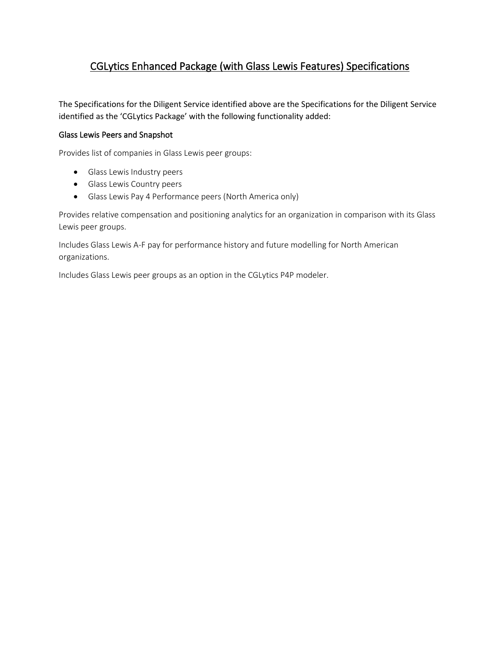# CGLytics Enhanced Package (with Glass Lewis Features) Specifications

The Specifications for the Diligent Service identified above are the Specifications for the Diligent Service identified as the 'CGLytics Package' with the following functionality added:

# Glass Lewis Peers and Snapshot

Provides list of companies in Glass Lewis peer groups:

- Glass Lewis Industry peers
- Glass Lewis Country peers
- Glass Lewis Pay 4 Performance peers (North America only)

Provides relative compensation and positioning analytics for an organization in comparison with its Glass Lewis peer groups.

Includes Glass Lewis A-F pay for performance history and future modelling for North American organizations.

Includes Glass Lewis peer groups as an option in the CGLytics P4P modeler.